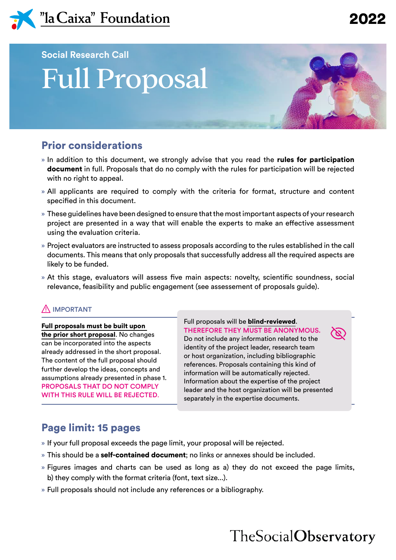

**Social Research Call**

# Full Proposal

## Prior considerations

- » In addition to this document, we strongly advise that you read the **rules for participation** document in full. Proposals that do no comply with the rules for participation will be rejected with no right to appeal.
- » All applicants are required to comply with the criteria for format, structure and content specified in this document.
- » These guidelines have been designed to ensure that the most important aspects of your research project are presented in a way that will enable the experts to make an effective assessment using the evaluation criteria.
- » Project evaluators are instructed to assess proposals according to the rules established in the call documents. This means that only proposals that successfully address all the required aspects are likely to be funded.
- » At this stage, evaluators will assess five main aspects: novelty, scientific soundness, social relevance, feasibility and public engagement (see assessement of proposals guide).

#### $\Lambda$  IMPORTANT

Full proposals must be built upon the prior short proposal. No changes can be incorporated into the aspects already addressed in the short proposal. The content of the full proposal should further develop the ideas, concepts and assumptions already presented in phase 1. PROPOSALS THAT DO NOT COMPLY WITH THIS RULE WILL BE REJECTED.

Full proposals will be blind-reviewed. THEREFORE THEY MUST BE ANONYMOUS. Do not include any information related to the identity of the project leader, research team or host organization, including bibliographic references. Proposals containing this kind of information will be automatically rejected. Information about the expertise of the project leader and the host organization will be presented separately in the expertise documents.

## Page limit: 15 pages

- » If your full proposal exceeds the page limit, your proposal will be rejected.
- » This should be a **self-contained document**; no links or annexes should be included.
- » Figures images and charts can be used as long as a) they do not exceed the page limits, b) they comply with the format criteria (font, text size...).
- » Full proposals should not include any references or a bibliography.

## TheSocialObservatory